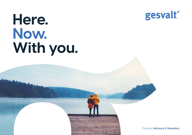

# **Here. Now. With you.**

Gesvalt | **Advisory & Valuation**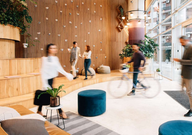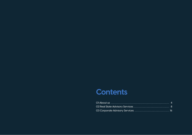### **Contents**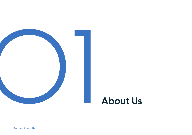



Gesvalt | About Us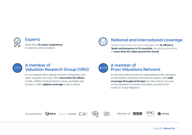

**Experts** More than **25 years' experience** in advisory and valuation.



#### **National and international coverage**

National and international coverage, with **16 offices in Spain and presence in 14 countries, developing activities** in **more than 40 cities around the world.**



#### **A member of Valuation Research Group (VRG)**

It is an independent, global network of business and asset valuation services. With **more than 50 offices**  in USA, LATAM, Central America, Asia, Australia and Europe, it offers **global coverage** to all its clients.



#### **A member of Praxi Valuations Network**

It is an international network specialising in the valuation of real estate, industrial and business assets, with **solid coverage throughout Europe**. Its main activity focuses on the valuation of assets and loans, as well as the conduct of due diligence.

Accredited by:  $\bigotimes$  RICS' BANCODEESPAÑA  $CEVE^e$   $\bigotimes$   $\bigcirc$   $\bigcirc$   $\bigcirc$   $\bigcirc$  Member of:  $\triangle$  E $\triangledown$ 





**EFFAS**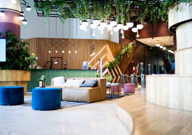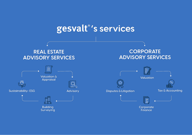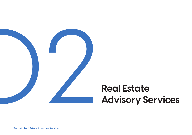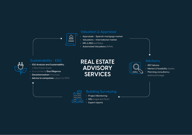

#### Valuation & Appraisal

- · Appraisals Spanish mortgage market
- · Valuations International market
- NPL & REO portfolios
- Automated Valuations (AVMs)

#### **Sustainability - ESG**

- · ESG Analysis and Sustainability in Real Estate Assets
- · Environmental Due Diligence
- Decarbonisation Processes
- Advice to companies subject to NFRD

### **REAL ESTATE ADVISORY SERVICES**

# addo

#### Advisory

- · REIT Advice
- · Market & feasibility studies
- Planning consultancy technical & legal



#### **Building Surveying**

- · Project Monitoring
- DDs (Legal and Tech)
- · Expert reports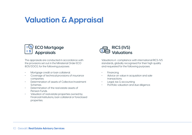## **Valuation & Appraisal**



The appraisals are conducted in accordance with the provisions set out in the Ministerial Order ECO 805/2003, for the following purposes:

- Mortgage credit or loan collateral.
- Coverage of technical provisions of insurance companies.
- Determination of assets of Collective Investment Schemes.
- Determination of the real estate assets of Pension Funds.
- Valuation of real estate properties owned by Financial Institutions, loan collateral or foreclosed properties.



Valuations in compliance with international RICS-IVS standards, globally recognised for their high quality and requested for the following purposes:

- Financina.
- Advice on value in acquisition and sale transactions.
- Legal, tax & accounting
- Portfolio valuation and due diligence.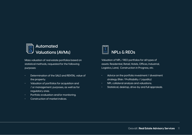

Mass valuation of real estate portfolios based on statistical methods, requested for the following purposes:

- Determination of the SALE and RENTAL value of the property.
- Valuation of portfolios for acquisition and / or management. purposes, as well as for regulatory ones.
- Portfolio evaluation and/or monitoring.
- Construction of market indices.



Valuation of NPL / REO portfolios for all types of assets: Residential, Retail, Hotels, Offices, Industrial, Logistics, Land, Construction in Progress, etc.

- Advice on the portfolio investment / divestment strategy (Risk / Profitability / Liquidity)
- NPL collateral analysis and valuations.
- Statistical, desktop, drive-by and full appraisals.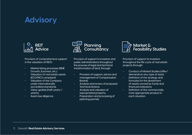## **Advisory**



Provision of comprehensive support in the valuation of REITs:

- Market listing processes (BME Growth, Euronext, etc.).
- Valuation of real estate assets (ECO/RICS compliant)
- Valuation of the Company under internationally accredited standards.
- Value update (half-yearly / yearly).
- Asset due diligence.



Provision of support to investors and public administrations throughout the process of legal and technical transformation of land, through:

- Provision of support, advice and management of Compensation **Boards**
- Analysis and review of proposed Technical Actions.
- Analysis and valuation of expropriated property.
- **Preparation and processing of** planning permits.



Provision of support to investors throughout the life cycle of real estate projects through:

- Conduct of Market Studies (offer/ demand) on any type of asset.
- Definition of the strategy and formulas for the divestment of assets owned by funds and financial institutions.
- Definition of the commercially most appropriate product in each situation.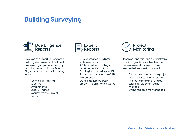### **Building Surveying**



Provision of support to investors in building investment or divestment processes, giving comfort on any technical aspect with our Due Diligence reports on the following issues:

- Technical & Planning
- **Structural**
- **Fnvironmental**
- Legal & Finance
- Documentary & Project
- CapEx



- RICS accredited building's statement report
- RICS accredited building's reinstatement valuation
- Building Evaluation Report (IEE)
- Reports on real estate useful life (tax purposes)
- VAT exemption reports in property refurbishment works



Technical, financial and administrative monitoring of financed real estate developments to prevent risks and ensure their successful completion:

- The progress status of the project throughout its different stages.
- The feasibility plan of the real estate development being financed.
- Online real time monitoring tool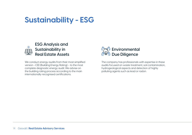### **Sustainability - ESG**

#### **ESG Analysis and Sustainability in Real Estate Assets**

We conduct energy audits from their most simplified version –CEE (Building Energy Rating) – to the most complete diagnostic energy audit. We advise on the building rating process according to the main internationally recognised certifications.



The company has professionals with expertise in these audits focused on waste treatment, soil contamination, hydrogeological aspects and detection of highly polluting agents such as lead or radon.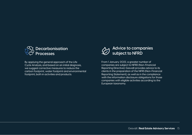

By applying the general approach of the Life Cycle Analysis, and based on an initial diagnosis, we suggest corrective measures to reduce the carbon footprint, water footprint and environmental footprint, both in activities and products.



From 1 January 2022, a greater number of companies are subject to NFRD (Non-Financial Reporting Directive). Gesvalt provides advice to its clients in the preparation of the NFRS (Non-Financial Reporting Statement), as well as in the compliance with the information disclosure obligations for those companies with eligible activities according to the European taxonomy.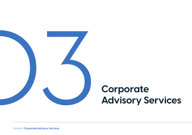

## **Corporate Advisory Services**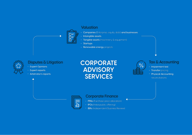#### **Valuation**



- Companies (Enterprise, equity, debt) and businesses
- $\cdot$  Intangible assets
- · Tangible assets (machinery & equipment)
- $\cdot$  Startups
- · Renewable energy projects

### **Disputes & Litigation**

- · Expert Opinions
- $\cdot$  Expert reports
- · Arbitrator's reports

### **CORPORATE ADVISORY SERVICES**



#### **Tax & Accounting**

- $\cdot$  Impairment test
- · Transfer pricing
- Physical-Accounting reconciliations



#### **Corporate Finance**

- PPAs (Purchase price allocation)
- IPOs (Initial public offering)
- IBRs (Independent Business Review)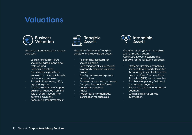### **Valuations**



Valuation of businesses for various purposes:

- Search for liquidity: IPOs, securities-based loans, debt restructuring.
- Corporate conflicts: Successions, separations, exclusion of minority interests, redundancy processes
- Strategic: Divestment, M&A, expansion plans.
- Tax: Determination of capital gain or loss derived from the sale of shares, security for deferred payment.
- Accounting: Impairment test.



Valuation of all types of tangible assets for the following purposes:

- Refinancing/collateral for secured lending.
- Determination of sums insured in property damage insurance policies.
- Sale & purchase in corporate transactions.
- Business combination processes.
- Analysis of useful lives/asset depreciation policies.
- Audits.
- Accidental loss or damage.
- Justification for public aid.



Valuation of all types of intangibles such as brands, patents, Administrative Concessions and goodwill for the following purposes:

- Strategic: Royalties, franchises, licences, total or partial transfer.
- Accounting: Capitalisation in the balance sheet, Purchase Price Allocation (PPA), impairment test.
- Tax: Transfer pricing, Collateral for deferred payment.
- Financing: Security for deferred payment.
- Legal: Litigation, Business interruption.

•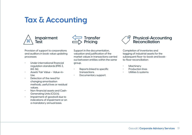### **Tax & Accounting**



Provision of support to corporations and auditors in book value updating processes:

- Under international financial regulation standards (IFRS 3, IAS 36).
- Assets' Fair Value Value-in-Use.
- Detection of the need for changing amortisation methods, useful lives or residual values.
- Non-financial assets and Cash-Generating Units (CGU's).
- Impairment of goodwill due to indications of impairment or on a mandatory annual basis.



Support in the documentation, valuation and justification of the market values in transactions carried out between entities within the same group.

- Reports linked to specific transactions.
- Documentary support.



Completion of inventories and tagging of industrial assets for the subsequent floor-to-book and bookto-floor reconciliation:

- Machinery
- Production lines
- Utilities & systems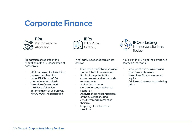### **Corporate Finance**





Preparation of reports on the Allocation of the Purchase Price of companies:

- M&A processes that result in a business combination.
- Under IFRS 3 and IAS 38 international standards.
- Valuation of assets and liabilities at fair value, determination of useful lives. WACC-WARA reconciliation.

Third-party Independent Business Review:

- Historical financial analysis and study of the future evolution.
- Study of the potential to cover present and future cash requirements.
- Actions for business stabilisation under different scenarios.
- Analysis of the reasonableness of the assumptions and sensitivity measurement of their risk.
- Mapping of the financial structure



Advice on the listing of the company's shares on the market.

- Reviews of business plans and cash flow statements.
- Valuation of both assets and equity.
- Advice on determining the listing price.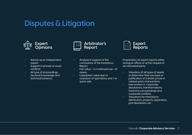### **Disputes & Litigation**



- Advice as an independent expert.
- Support in private or court conflicts.
- All type of proceedings.
- Sectoral knowledge and technical solvency.

**Arbitrator's Report**

- Analysis in support of the conclusions of the Insolvency Report.
- Fair value in continued use– of assets.
- Liquidation value due to cessation of operations and / or quick sale.



Preparation of expert reports either acting ex officio or at the request of an interested party:

- Valuation of all types of assets to determine their tax base or justification of transfer prices in related-party transactions.
- Intervention in corporate dissolutions, transformations, insolvency proceedings and corporate conflicts.
- Valuations for inheritance distribution, property separation, joint dissolution, etc.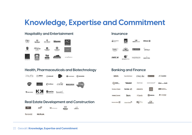### **Knowledge, Expertise and Commitment**

#### **Hospitality and Entertainment**



#### **Insurance**



#### **Health, Pharmaceuticals and Biotechnology Banking and Finance**



#### **Real Estate Development and Construction**



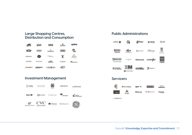#### **Large Shopping Centres, Distribution and Consumption**

|                                                    | Catvo      | <b>Carl Car</b>      | MONETE                         | venecia                |
|----------------------------------------------------|------------|----------------------|--------------------------------|------------------------|
|                                                    | Kraft >    | <b>MEXCADONA</b>     | Dia [X]                        | bigg                   |
| CORTEFIEL<br>the contract property of the contract |            | (Sfera)              |                                | <b>ALCALA</b><br>MAGNA |
| ESCADA                                             | THEANG CO. | HERNES               | LOEWE                          | <b>FLDEASA</b>         |
| parqueAstur                                        | atalayas   | LA: ROILS OD VILLAGE | <b><i>CARLEY CARDSCART</i></b> |                        |

#### **Investment Management Servicers**



#### **Public Administrations**





A.HPOGESIBERU